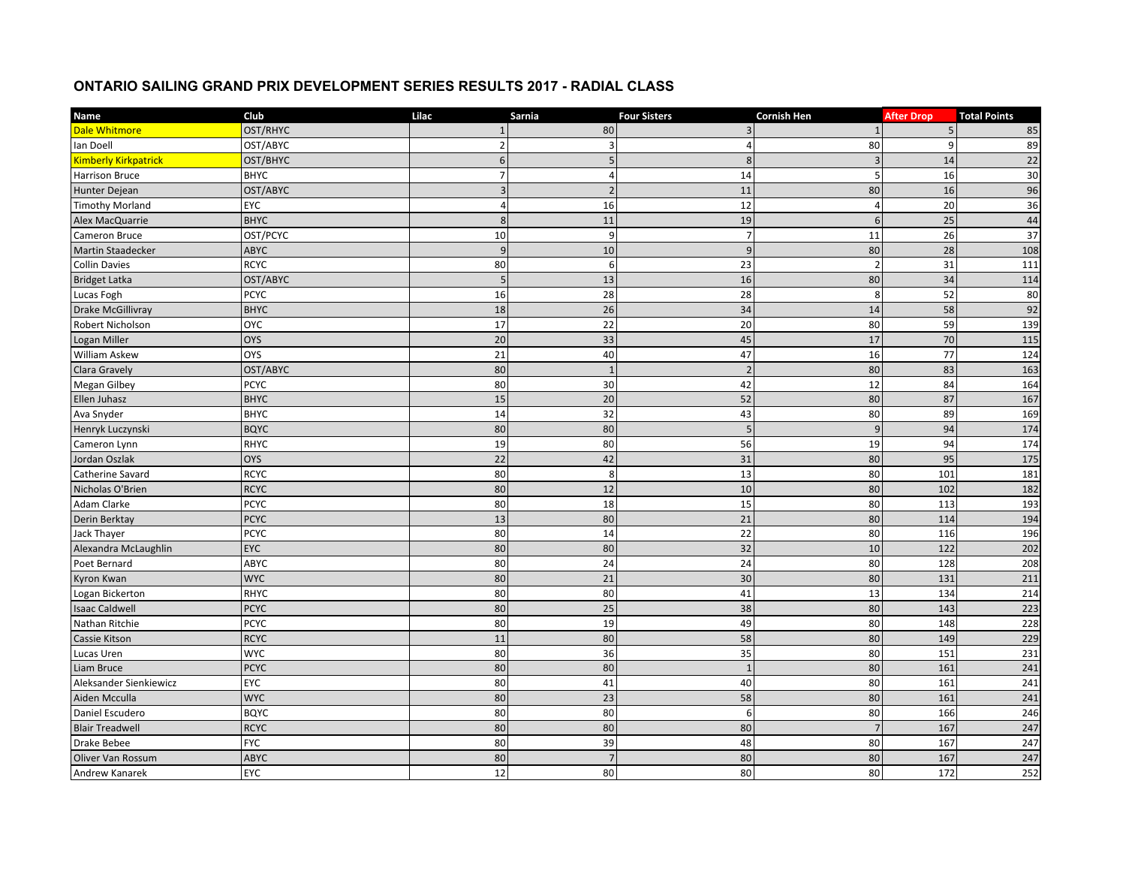## **ONTARIO SAILING GRAND PRIX DEVELOPMENT SERIES RESULTS 2017 - RADIAL CLASS**

| <b>Name</b>                 | Club        | Lilac           | Sarnia         | <b>Four Sisters</b> | <b>Cornish Hen</b> | <b>After Drop</b> | <b>Total Points</b> |
|-----------------------------|-------------|-----------------|----------------|---------------------|--------------------|-------------------|---------------------|
| <b>Dale Whitmore</b>        | OST/RHYC    | $\mathbf{1}$    | 80             | 3                   |                    | 5                 | 85                  |
| lan Doell                   | OST/ABYC    | $\overline{2}$  | 3              | Δ                   | 80                 |                   | 89                  |
| <b>Kimberly Kirkpatrick</b> | OST/BHYC    | 6               | 5              | 8                   | $\overline{3}$     | 14                | 22                  |
| <b>Harrison Bruce</b>       | <b>BHYC</b> | $\overline{7}$  | 4              | 14                  | 5                  | 16                | 30                  |
| Hunter Dejean               | OST/ABYC    | $\overline{3}$  | $\overline{z}$ | 11                  | 80                 | 16                | 96                  |
| <b>Timothy Morland</b>      | EYC         |                 | 16             | 12                  | 4                  | 20                | 36                  |
| Alex MacQuarrie             | <b>BHYC</b> | 8               | 11             | 19                  | $6\overline{6}$    | 25                | $\overline{44}$     |
| Cameron Bruce               | OST/PCYC    | 10              | 9              | $\overline{7}$      | 11                 | 26                | 37                  |
| <b>Martin Staadecker</b>    | <b>ABYC</b> | 9               | 10             | $\mathbf{g}$        | 80                 | 28                | 108                 |
| <b>Collin Davies</b>        | <b>RCYC</b> | 80              | 6              | 23                  | $\overline{2}$     | 31                | 111                 |
| <b>Bridget Latka</b>        | OST/ABYC    | 5               | 13             | 16                  | 80                 | 34                | 114                 |
| Lucas Fogh                  | <b>PCYC</b> | 16              | 28             | 28                  | 8                  | 52                | 80                  |
| <b>Drake McGillivray</b>    | <b>BHYC</b> | 18              | 26             | 34                  | 14                 | 58                | 92                  |
| Robert Nicholson            | <b>OYC</b>  | $17\,$          | 22             | 20                  | 80                 | 59                | 139                 |
| Logan Miller                | <b>OYS</b>  | $\overline{20}$ | 33             | 45                  | 17                 | 70                | 115                 |
| William Askew               | <b>OYS</b>  | 21              | 40             | 47                  | 16                 | 77                | 124                 |
| Clara Gravely               | OST/ABYC    | 80              | $\overline{1}$ | $\overline{2}$      | 80                 | 83                | 163                 |
| <b>Megan Gilbey</b>         | <b>PCYC</b> | 80              | 30             | 42                  | 12                 | 84                | 164                 |
| Ellen Juhasz                | <b>BHYC</b> | 15              | 20             | 52                  | 80                 | 87                | 167                 |
| Ava Snyder                  | <b>BHYC</b> | 14              | 32             | 43                  | 80                 | 89                | 169                 |
| Henryk Luczynski            | <b>BQYC</b> | 80              | 80             | 5                   | $\overline{9}$     | 94                | 174                 |
| Cameron Lynn                | RHYC        | 19              | 80             | 56                  | 19                 | 94                | 174                 |
| Jordan Oszlak               | <b>OYS</b>  | 22              | 42             | 31                  | 80                 | 95                | 175                 |
| Catherine Savard            | <b>RCYC</b> | 80              | 8              | 13                  | 80                 | 101               | 181                 |
| Nicholas O'Brien            | <b>RCYC</b> | 80              | 12             | 10                  | 80                 | 102               | 182                 |
| Adam Clarke                 | <b>PCYC</b> | 80              | 18             | 15                  | 80                 | 113               | 193                 |
| Derin Berktay               | <b>PCYC</b> | 13              | 80             | 21                  | 80                 | 114               | 194                 |
| Jack Thayer                 | <b>PCYC</b> | 80              | 14             | 22                  | 80                 | 116               | 196                 |
| Alexandra McLaughlin        | EYC         | 80              | 80             | 32                  | 10                 | 122               | 202                 |
| Poet Bernard                | ABYC        | 80              | 24             | 24                  | 80                 | 128               | 208                 |
| <b>Kyron Kwan</b>           | <b>WYC</b>  | 80              | 21             | 30                  | 80                 | 131               | 211                 |
| Logan Bickerton             | <b>RHYC</b> | 80              | 80             | 41                  | 13                 | 134               | 214                 |
| <b>Isaac Caldwell</b>       | <b>PCYC</b> | 80              | 25             | 38                  | 80                 | 143               | 223                 |
| Nathan Ritchie              | <b>PCYC</b> | 80              | 19             | 49                  | 80                 | 148               | 228                 |
| Cassie Kitson               | <b>RCYC</b> | 11              | 80             | 58                  | 80                 | 149               | 229                 |
| Lucas Uren                  | <b>WYC</b>  | 80              | 36             | 35                  | 80                 | 151               | 231                 |
| Liam Bruce                  | <b>PCYC</b> | 80              | 80             | $\overline{1}$      | 80                 | 161               | 241                 |
| Aleksander Sienkiewicz      | EYC         | 80              | 41             | 40                  | 80                 | 161               | 241                 |
| Aiden Mcculla               | <b>WYC</b>  | 80              | 23             | 58                  | 80                 | 161               | 241                 |
| Daniel Escudero             | <b>BQYC</b> | 80              | 80             | 6                   | 80                 | 166               | 246                 |
| <b>Blair Treadwell</b>      | <b>RCYC</b> | 80              | 80             | 80                  |                    | 167               | 247                 |
| Drake Bebee                 | <b>FYC</b>  | 80              | 39             | 48                  | 80                 | 167               | 247                 |
| Oliver Van Rossum           | <b>ABYC</b> | 80              | $\overline{7}$ | 80                  | 80                 | 167               | 247                 |
| Andrew Kanarek              | EYC         | 12              | 80             | 80                  | 80                 | 172               | 252                 |